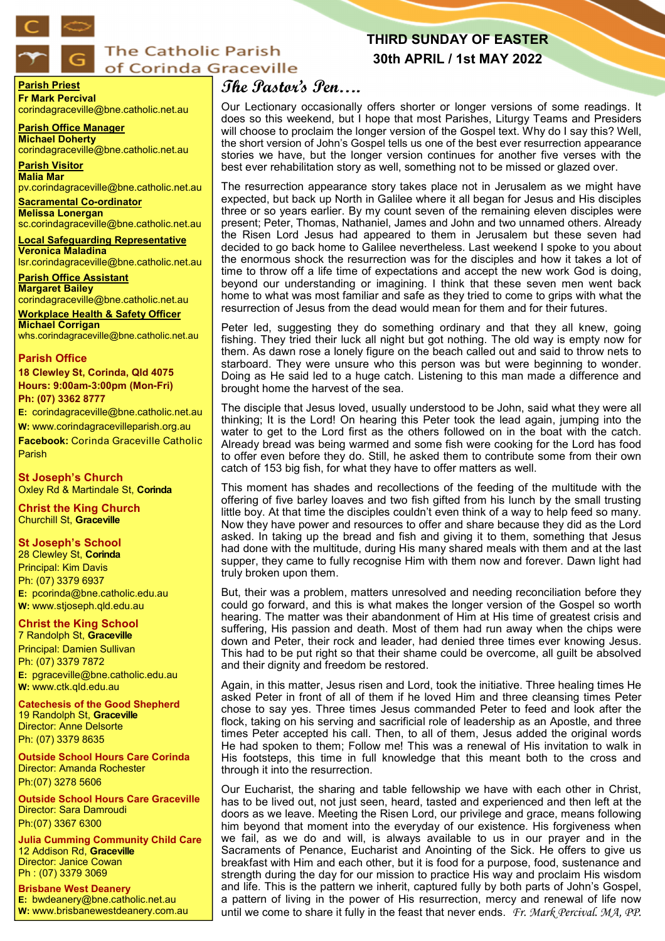

# **The Catholic Parish** of Corinda Graceville

# **THIRD SUNDAY OF EASTER 30th APRIL / 1st MAY 2022**

**Parish Priest Fr Mark Percival** corindagraceville@bne.catholic.net.au

**Parish Office Manager Michael Doherty** corindagraceville@bne.catholic.net.au

**Parish Visitor Malia Mar**  pv.corindagraceville@bne.catholic.net.au

**Sacramental Co-ordinator Melissa Lonergan**  sc.corindagraceville@bne.catholic.net.au

**Local Safeguarding Representative Veronica Maladina** lsr.corindagraceville@bne.catholic.net.au

**Parish Office Assistant Margaret Bailey**  corindagraceville@bne.catholic.net.au

**Workplace Health & Safety Officer Michael Corrigan** whs.corindagraceville@bne.catholic.net.au

## **Parish Office**

**18 Clewley St, Corinda, Qld 4075 Hours: 9:00am-3:00pm (Mon-Fri) Ph: (07) 3362 8777**

**E:** corindagraceville@bne.catholic.net.au **W:** www.corindagracevilleparish.org.au

**Facebook:** Corinda Graceville Catholic Parish

**St Joseph's Church** Oxley Rd & Martindale St, **Corinda**

**Christ the King Church** Churchill St, **Graceville**

## **St Joseph's School**

28 Clewley St, **Corinda** Principal: Kim Davis Ph: (07) 3379 6937 **E:** pcorinda@bne.catholic.edu.au **W:** www.stjoseph.qld.edu.au

# **Christ the King School**

7 Randolph St, **Graceville** Principal: Damien Sullivan Ph: (07) 3379 7872 **E:** pgraceville@bne.catholic.edu.au **W:** www.ctk.qld.edu.au

**Catechesis of the Good Shepherd**  19 Randolph St, **Graceville**  Director: Anne Delsorte Ph: (07) 3379 8635

**Outside School Hours Care Corinda**  Director: Amanda Rochester Ph:(07) 3278 5606

**Outside School Hours Care Graceville**  Director: Sara Damroudi Ph:(07) 3367 6300

**Julia Cumming Community Child Care**  12 Addison Rd, **Graceville**  Director: Janice Cowan Ph : (07) 3379 3069

**Brisbane West Deanery E:** bwdeanery@bne.catholic.net.au **W:** www.brisbanewestdeanery.com.au

# **The Pastor's Pen….**

Our Lectionary occasionally offers shorter or longer versions of some readings. It does so this weekend, but I hope that most Parishes, Liturgy Teams and Presiders will choose to proclaim the longer version of the Gospel text. Why do I say this? Well, the short version of John's Gospel tells us one of the best ever resurrection appearance stories we have, but the longer version continues for another five verses with the best ever rehabilitation story as well, something not to be missed or glazed over.

The resurrection appearance story takes place not in Jerusalem as we might have expected, but back up North in Galilee where it all began for Jesus and His disciples three or so years earlier. By my count seven of the remaining eleven disciples were present; Peter, Thomas, Nathaniel, James and John and two unnamed others. Already the Risen Lord Jesus had appeared to them in Jerusalem but these seven had decided to go back home to Galilee nevertheless. Last weekend I spoke to you about the enormous shock the resurrection was for the disciples and how it takes a lot of time to throw off a life time of expectations and accept the new work God is doing, beyond our understanding or imagining. I think that these seven men went back home to what was most familiar and safe as they tried to come to grips with what the resurrection of Jesus from the dead would mean for them and for their futures.

Peter led, suggesting they do something ordinary and that they all knew, going fishing. They tried their luck all night but got nothing. The old way is empty now for them. As dawn rose a lonely figure on the beach called out and said to throw nets to starboard. They were unsure who this person was but were beginning to wonder. Doing as He said led to a huge catch. Listening to this man made a difference and brought home the harvest of the sea.

The disciple that Jesus loved, usually understood to be John, said what they were all thinking; It is the Lord! On hearing this Peter took the lead again, jumping into the water to get to the Lord first as the others followed on in the boat with the catch. Already bread was being warmed and some fish were cooking for the Lord has food to offer even before they do. Still, he asked them to contribute some from their own catch of 153 big fish, for what they have to offer matters as well.

This moment has shades and recollections of the feeding of the multitude with the offering of five barley loaves and two fish gifted from his lunch by the small trusting little boy. At that time the disciples couldn't even think of a way to help feed so many. Now they have power and resources to offer and share because they did as the Lord asked. In taking up the bread and fish and giving it to them, something that Jesus had done with the multitude, during His many shared meals with them and at the last supper, they came to fully recognise Him with them now and forever. Dawn light had truly broken upon them.

But, their was a problem, matters unresolved and needing reconciliation before they could go forward, and this is what makes the longer version of the Gospel so worth hearing. The matter was their abandonment of Him at His time of greatest crisis and suffering, His passion and death. Most of them had run away when the chips were down and Peter, their rock and leader, had denied three times ever knowing Jesus. This had to be put right so that their shame could be overcome, all guilt be absolved and their dignity and freedom be restored.

Again, in this matter, Jesus risen and Lord, took the initiative. Three healing times He asked Peter in front of all of them if he loved Him and three cleansing times Peter chose to say yes. Three times Jesus commanded Peter to feed and look after the flock, taking on his serving and sacrificial role of leadership as an Apostle, and three times Peter accepted his call. Then, to all of them, Jesus added the original words He had spoken to them; Follow me! This was a renewal of His invitation to walk in His footsteps, this time in full knowledge that this meant both to the cross and through it into the resurrection.

Our Eucharist, the sharing and table fellowship we have with each other in Christ, has to be lived out, not just seen, heard, tasted and experienced and then left at the doors as we leave. Meeting the Risen Lord, our privilege and grace, means following him beyond that moment into the everyday of our existence. His forgiveness when we fail, as we do and will, is always available to us in our prayer and in the Sacraments of Penance, Eucharist and Anointing of the Sick. He offers to give us breakfast with Him and each other, but it is food for a purpose, food, sustenance and strength during the day for our mission to practice His way and proclaim His wisdom and life. This is the pattern we inherit, captured fully by both parts of John's Gospel, a pattern of living in the power of His resurrection, mercy and renewal of life now until we come to share it fully in the feast that never ends. *Fr. Mark Percival. MA, PP.*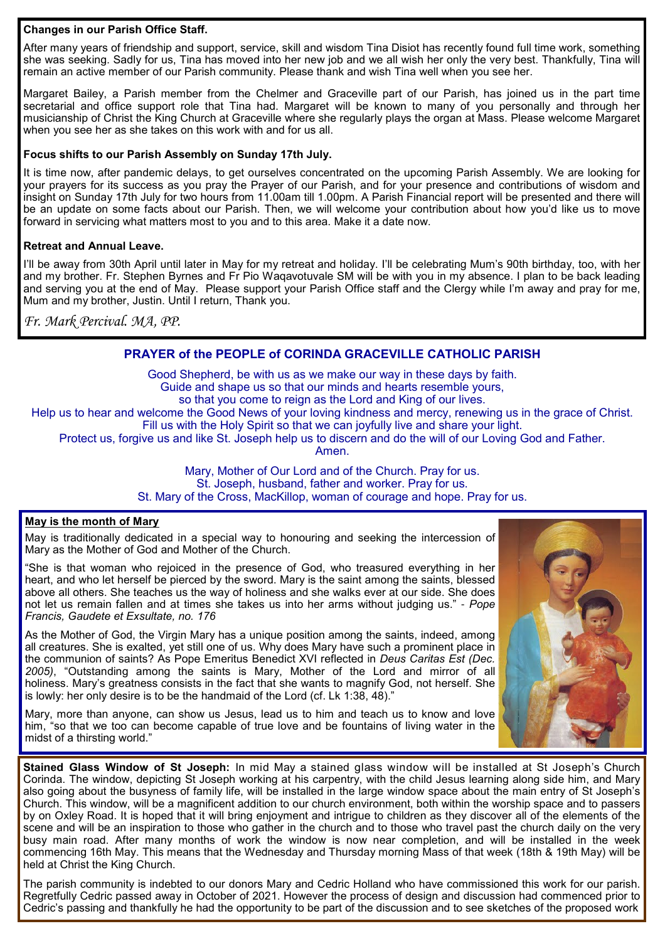## **Changes in our Parish Office Staff.**

After many years of friendship and support, service, skill and wisdom Tina Disiot has recently found full time work, something she was seeking. Sadly for us, Tina has moved into her new job and we all wish her only the very best. Thankfully, Tina will remain an active member of our Parish community. Please thank and wish Tina well when you see her.

Margaret Bailey, a Parish member from the Chelmer and Graceville part of our Parish, has joined us in the part time secretarial and office support role that Tina had. Margaret will be known to many of you personally and through her musicianship of Christ the King Church at Graceville where she regularly plays the organ at Mass. Please welcome Margaret when you see her as she takes on this work with and for us all.

## **Focus shifts to our Parish Assembly on Sunday 17th July.**

It is time now, after pandemic delays, to get ourselves concentrated on the upcoming Parish Assembly. We are looking for your prayers for its success as you pray the Prayer of our Parish, and for your presence and contributions of wisdom and insight on Sunday 17th July for two hours from 11.00am till 1.00pm. A Parish Financial report will be presented and there will be an update on some facts about our Parish. Then, we will welcome your contribution about how you'd like us to move forward in servicing what matters most to you and to this area. Make it a date now.

## **Retreat and Annual Leave.**

I'll be away from 30th April until later in May for my retreat and holiday. I'll be celebrating Mum's 90th birthday, too, with her and my brother. Fr. Stephen Byrnes and Fr Pio Waqavotuvale SM will be with you in my absence. I plan to be back leading and serving you at the end of May. Please support your Parish Office staff and the Clergy while I'm away and pray for me, Mum and my brother, Justin. Until I return, Thank you.

*Fr. Mark Percival. MA, PP.* 

## **PRAYER of the PEOPLE of CORINDA GRACEVILLE CATHOLIC PARISH**

Good Shepherd, be with us as we make our way in these days by faith. Guide and shape us so that our minds and hearts resemble yours, so that you come to reign as the Lord and King of our lives. Help us to hear and welcome the Good News of your loving kindness and mercy, renewing us in the grace of Christ. Fill us with the Holy Spirit so that we can joyfully live and share your light.

Protect us, forgive us and like St. Joseph help us to discern and do the will of our Loving God and Father.

Amen.

Mary, Mother of Our Lord and of the Church. Pray for us. St. Joseph, husband, father and worker. Pray for us. St. Mary of the Cross, MacKillop, woman of courage and hope. Pray for us.

## **May is the month of Mary**

May is traditionally dedicated in a special way to honouring and seeking the intercession of Mary as the Mother of God and Mother of the Church.

"She is that woman who rejoiced in the presence of God, who treasured everything in her heart, and who let herself be pierced by the sword. Mary is the saint among the saints, blessed above all others. She teaches us the way of holiness and she walks ever at our side. She does not let us remain fallen and at times she takes us into her arms without judging us." - *Pope Francis, Gaudete et Exsultate, no. 176*

As the Mother of God, the Virgin Mary has a unique position among the saints, indeed, among all creatures. She is exalted, yet still one of us. Why does Mary have such a prominent place in the communion of saints? As Pope Emeritus Benedict XVI reflected in *Deus Caritas Est (Dec. 2005)*, "Outstanding among the saints is Mary, Mother of the Lord and mirror of all holiness. Mary's greatness consists in the fact that she wants to magnify God, not herself. She is lowly: her only desire is to be the handmaid of the Lord (cf. Lk 1:38, 48)."

Mary, more than anyone, can show us Jesus, lead us to him and teach us to know and love him, "so that we too can become capable of true love and be fountains of living water in the midst of a thirsting world."

**Stained Glass Window of St Joseph:** In mid May a stained glass window will be installed at St Joseph's Church Corinda. The window, depicting St Joseph working at his carpentry, with the child Jesus learning along side him, and Mary also going about the busyness of family life, will be installed in the large window space about the main entry of St Joseph's Church. This window, will be a magnificent addition to our church environment, both within the worship space and to passers by on Oxley Road. It is hoped that it will bring enjoyment and intrigue to children as they discover all of the elements of the scene and will be an inspiration to those who gather in the church and to those who travel past the church daily on the very busy main road. After many months of work the window is now near completion, and will be installed in the week commencing 16th May. This means that the Wednesday and Thursday morning Mass of that week (18th & 19th May) will be held at Christ the King Church.

The parish community is indebted to our donors Mary and Cedric Holland who have commissioned this work for our parish. Regretfully Cedric passed away in October of 2021. However the process of design and discussion had commenced prior to Cedric's passing and thankfully he had the opportunity to be part of the discussion and to see sketches of the proposed work

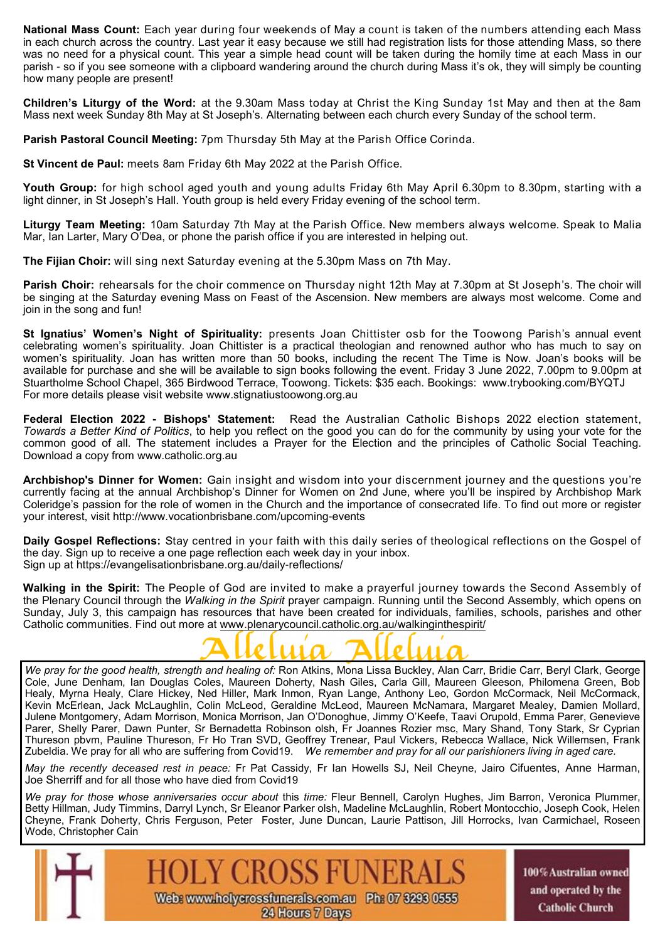**National Mass Count:** Each year during four weekends of May a count is taken of the numbers attending each Mass in each church across the country. Last year it easy because we still had registration lists for those attending Mass, so there was no need for a physical count. This year a simple head count will be taken during the homily time at each Mass in our parish - so if you see someone with a clipboard wandering around the church during Mass it's ok, they will simply be counting how many people are present!

**Children's Liturgy of the Word:** at the 9.30am Mass today at Christ the King Sunday 1st May and then at the 8am Mass next week Sunday 8th May at St Joseph's. Alternating between each church every Sunday of the school term.

**Parish Pastoral Council Meeting:** 7pm Thursday 5th May at the Parish Office Corinda.

**St Vincent de Paul:** meets 8am Friday 6th May 2022 at the Parish Office.

**Youth Group:** for high school aged youth and young adults Friday 6th May April 6.30pm to 8.30pm, starting with a light dinner, in St Joseph's Hall. Youth group is held every Friday evening of the school term.

**Liturgy Team Meeting:** 10am Saturday 7th May at the Parish Office. New members always welcome. Speak to Malia Mar, Ian Larter, Mary O'Dea, or phone the parish office if you are interested in helping out.

**The Fijian Choir:** will sing next Saturday evening at the 5.30pm Mass on 7th May.

**Parish Choir:** rehearsals for the choir commence on Thursday night 12th May at 7.30pm at St Joseph's. The choir will be singing at the Saturday evening Mass on Feast of the Ascension. New members are always most welcome. Come and join in the song and fun!

**St Ignatius' Women's Night of Spirituality:** presents Joan Chittister osb for the Toowong Parish's annual event celebrating women's spirituality. Joan Chittister is a practical theologian and renowned author who has much to say on women's spirituality. Joan has written more than 50 books, including the recent The Time is Now. Joan's books will be available for purchase and she will be available to sign books following the event. Friday 3 June 2022, 7.00pm to 9.00pm at Stuartholme School Chapel, 365 Birdwood Terrace, Toowong. Tickets: \$35 each. Bookings: www.trybooking.com/BYQTJ For more details please visit website www.stignatiustoowong.org.au

**Federal Election 2022 - Bishops' Statement:** Read the Australian Catholic Bishops 2022 election statement, *Towards a Better Kind of Politics*, to help you reflect on the good you can do for the community by using your vote for the common good of all. The statement includes a Prayer for the Election and the principles of Catholic Social Teaching. Download a copy from www.catholic.org.au

**Archbishop's Dinner for Women:** Gain insight and wisdom into your discernment journey and the questions you're currently facing at the annual Archbishop's Dinner for Women on 2nd June, where you'll be inspired by Archbishop Mark Coleridge's passion for the role of women in the Church and the importance of consecrated life. To find out more or register your interest, visit http://www.vocationbrisbane.com/upcoming-events

**Daily Gospel Reflections:** Stay centred in your faith with this daily series of theological reflections on the Gospel of the day. Sign up to receive a one page reflection each week day in your inbox. Sign up at https://evangelisationbrisbane.org.au/daily-reflections/

**Walking in the Spirit:** The People of God are invited to make a prayerful journey towards the Second Assembly of the Plenary Council through the *Walking in the Spirit* prayer campaign. Running until the Second Assembly, which opens on Sunday, July 3, this campaign has resources that have been created for individuals, families, schools, parishes and other Catholic communities. Find out more at www.plenarycouncil.catholic.org.au/walkinginthespirit/



*We pray for the good health, strength and healing of:* Ron Atkins, Mona Lissa Buckley, Alan Carr, Bridie Carr, Beryl Clark, George Cole, June Denham, Ian Douglas Coles, Maureen Doherty, Nash Giles, Carla Gill, Maureen Gleeson, Philomena Green, Bob Healy, Myrna Healy, Clare Hickey, Ned Hiller, Mark Inmon, Ryan Lange, Anthony Leo, Gordon McCormack, Neil McCormack, Kevin McErlean, Jack McLaughlin, Colin McLeod, Geraldine McLeod, Maureen McNamara, Margaret Mealey, Damien Mollard, Julene Montgomery, Adam Morrison, Monica Morrison, Jan O'Donoghue, Jimmy O'Keefe, Taavi Orupold, Emma Parer, Genevieve Parer, Shelly Parer, Dawn Punter, Sr Bernadetta Robinson olsh, Fr Joannes Rozier msc, Mary Shand, Tony Stark, Sr Cyprian Thureson pbvm, Pauline Thureson, Fr Ho Tran SVD, Geoffrey Trenear, Paul Vickers, Rebecca Wallace, Nick Willemsen, Frank Zubeldia. We pray for all who are suffering from Covid19. *We remember and pray for all our parishioners living in aged care.* 

*May the recently deceased rest in peace:* Fr Pat Cassidy, Fr Ian Howells SJ, Neil Cheyne, Jairo Cifuentes, Anne Harman, Joe Sherriff and for all those who have died from Covid19

*We pray for those whose anniversaries occur about* this *time:* Fleur Bennell, Carolyn Hughes, Jim Barron, Veronica Plummer, Betty Hillman, Judy Timmins, Darryl Lynch, Sr Eleanor Parker olsh, Madeline McLaughlin, Robert Montocchio, Joseph Cook, Helen Cheyne, Frank Doherty, Chris Ferguson, Peter Foster, June Duncan, Laurie Pattison, Jill Horrocks, Ivan Carmichael, Roseen Wode, Christopher Cain



100% Australian owned and operated by the **Catholic Church**